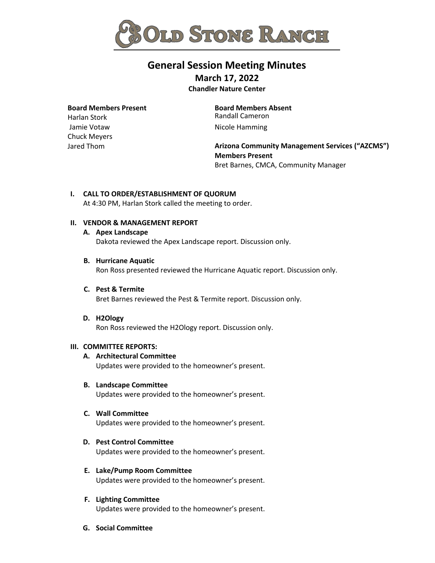

# **General Session Meeting Minutes March 17, 2022**

**Chandler Nature Center**

## **Board Members Present**

Harlan Stork Jamie Votaw Chuck Meyers Jared Thom

**Board Members Absent**  Randall Cameron Nicole Hamming

**Arizona Community Management Services ("AZCMS") Members Present**  Bret Barnes, CMCA, Community Manager

## **I. CALL TO ORDER/ESTABLISHMENT OF QUORUM**

At 4:30 PM, Harlan Stork called the meeting to order.

## **II. VENDOR & MANAGEMENT REPORT**

## **A. Apex Landscape**

Dakota reviewed the Apex Landscape report. Discussion only.

## **B. Hurricane Aquatic**

Ron Ross presented reviewed the Hurricane Aquatic report. Discussion only.

## **C. Pest & Termite**

Bret Barnes reviewed the Pest & Termite report. Discussion only.

## **D. H2Ology**

Ron Ross reviewed the H2Ology report. Discussion only.

## **III. COMMITTEE REPORTS:**

## **A. Architectural Committee**

Updates were provided to the homeowner's present.

## **B. Landscape Committee**

Updates were provided to the homeowner's present.

## **C. Wall Committee**

Updates were provided to the homeowner's present.

## **D. Pest Control Committee**

Updates were provided to the homeowner's present.

## **E. Lake/Pump Room Committee**

Updates were provided to the homeowner's present.

## **F. Lighting Committee**

Updates were provided to the homeowner's present.

## **G. Social Committee**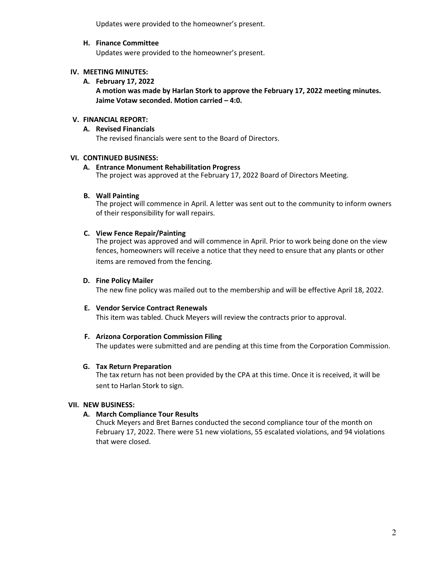Updates were provided to the homeowner's present.

## **H. Finance Committee**

Updates were provided to the homeowner's present.

## **IV. MEETING MINUTES:**

**A. February 17, 2022**

**A motion was made by Harlan Stork to approve the February 17, 2022 meeting minutes. Jaime Votaw seconded. Motion carried – 4:0.**

## **V. FINANCIAL REPORT:**

## **A. Revised Financials**

The revised financials were sent to the Board of Directors.

## **VI. CONTINUED BUSINESS:**

## **A. Entrance Monument Rehabilitation Progress**

The project was approved at the February 17, 2022 Board of Directors Meeting.

## **B. Wall Painting**

The project will commence in April. A letter was sent out to the community to inform owners of their responsibility for wall repairs.

## **C. View Fence Repair/Painting**

The project was approved and will commence in April. Prior to work being done on the view fences, homeowners will receive a notice that they need to ensure that any plants or other items are removed from the fencing.

## **D. Fine Policy Mailer**

The new fine policy was mailed out to the membership and will be effective April 18, 2022.

## **E. Vendor Service Contract Renewals**

This item was tabled. Chuck Meyers will review the contracts prior to approval.

## **F. Arizona Corporation Commission Filing**

The updates were submitted and are pending at this time from the Corporation Commission.

## **G. Tax Return Preparation**

The tax return has not been provided by the CPA at this time. Once it is received, it will be sent to Harlan Stork to sign.

## **VII. NEW BUSINESS:**

## **A. March Compliance Tour Results**

Chuck Meyers and Bret Barnes conducted the second compliance tour of the month on February 17, 2022. There were 51 new violations, 55 escalated violations, and 94 violations that were closed.